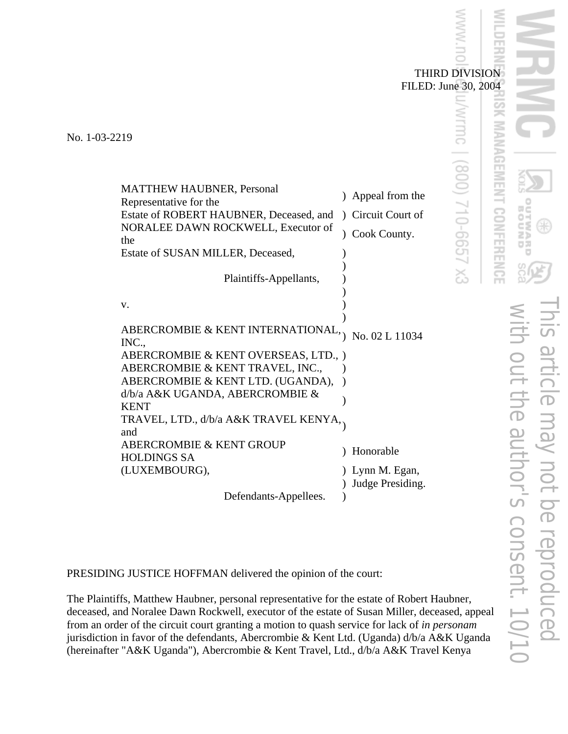THIRD DIVISION FILED: June 30, 2004

unc.

82 / 210-6657 X3

No. 1-03-2219

| <b>MATTHEW HAUBNER, Personal</b><br>Representative for the<br>Estate of ROBERT HAUBNER, Deceased, and<br>NORALEE DAWN ROCKWELL, Executor of<br>the | $\mathcal{L}$<br>Cook County. | Appeal from the<br>Circuit Court of |
|----------------------------------------------------------------------------------------------------------------------------------------------------|-------------------------------|-------------------------------------|
| Estate of SUSAN MILLER, Deceased,                                                                                                                  |                               |                                     |
| Plaintiffs-Appellants,                                                                                                                             |                               |                                     |
| V.                                                                                                                                                 |                               |                                     |
|                                                                                                                                                    |                               |                                     |
| ABERCROMBIE & KENT INTERNATIONAL,<br>INC.,                                                                                                         |                               | No. 02 L 11034                      |
| ABERCROMBIE & KENT OVERSEAS, LTD., )                                                                                                               |                               |                                     |
| ABERCROMBIE & KENT TRAVEL, INC.,                                                                                                                   |                               |                                     |
| ABERCROMBIE & KENT LTD. (UGANDA),                                                                                                                  |                               |                                     |
| d/b/a A&K UGANDA, ABERCROMBIE &                                                                                                                    |                               |                                     |
| <b>KENT</b>                                                                                                                                        |                               |                                     |
| TRAVEL, LTD., d/b/a A&K TRAVEL KENYA,.<br>and                                                                                                      |                               |                                     |
| ABERCROMBIE & KENT GROUP                                                                                                                           |                               |                                     |
| <b>HOLDINGS SA</b>                                                                                                                                 | Honorable                     |                                     |
| (LUXEMBOURG),                                                                                                                                      | ) Lynn M. Egan,               |                                     |
|                                                                                                                                                    |                               |                                     |
|                                                                                                                                                    |                               | Judge Presiding.                    |
| Defendants-Appellees.                                                                                                                              |                               |                                     |

PRESIDING JUSTICE HOFFMAN delivered the opinion of the court:

The Plaintiffs, Matthew Haubner, personal representative for the estate of Robert Haubner, deceased, and Noralee Dawn Rockwell, executor of the estate of Susan Miller, deceased, appeal from an order of the circuit court granting a motion to quash service for lack of *in personam* jurisdiction in favor of the defendants, Abercrombie & Kent Ltd. (Uganda) d/b/a A&K Uganda (hereinafter "A&K Uganda"), Abercrombie & Kent Travel, Ltd., d/b/a A&K Travel Kenya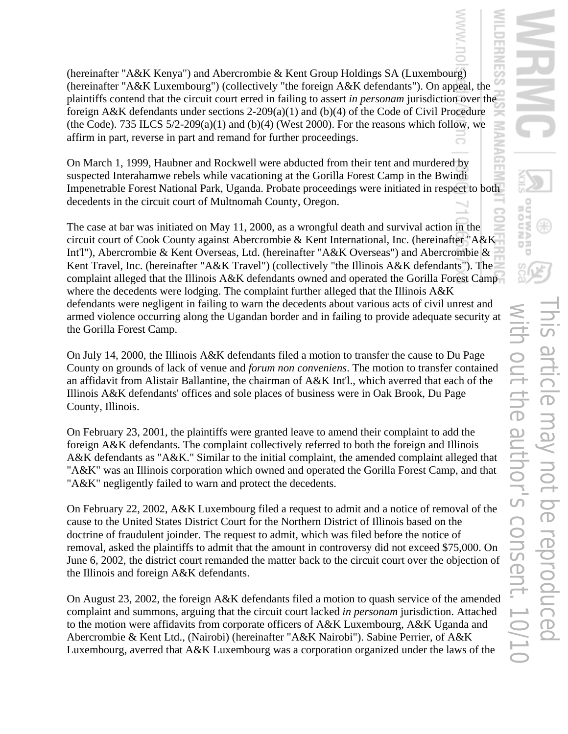(hereinafter "A&K Kenya") and Abercrombie & Kent Group Holdings SA (Luxembourg) (hereinafter "A&K Luxembourg") (collectively "the foreign A&K defendants"). On appeal, the plaintiffs contend that the circuit court erred in failing to assert *in personam* jurisdiction over the foreign A&K defendants under sections 2-209(a)(1) and (b)(4) of the Code of Civil Procedure (the Code). 735 ILCS  $5/2-209(a)(1)$  and (b)(4) (West 2000). For the reasons which follow, we affirm in part, reverse in part and remand for further proceedings.

On March 1, 1999, Haubner and Rockwell were abducted from their tent and murdered by suspected Interahamwe rebels while vacationing at the Gorilla Forest Camp in the Bwindi Impenetrable Forest National Park, Uganda. Probate proceedings were initiated in respect to both decedents in the circuit court of Multnomah County, Oregon.

The case at bar was initiated on May 11, 2000, as a wrongful death and survival action in the circuit court of Cook County against Abercrombie & Kent International, Inc. (hereinafter "A&K Int'l"), Abercrombie & Kent Overseas, Ltd. (hereinafter "A&K Overseas") and Abercrombie & Kent Travel, Inc. (hereinafter "A&K Travel") (collectively "the Illinois A&K defendants"). The complaint alleged that the Illinois A&K defendants owned and operated the Gorilla Forest Camp where the decedents were lodging. The complaint further alleged that the Illinois A&K defendants were negligent in failing to warn the decedents about various acts of civil unrest and armed violence occurring along the Ugandan border and in failing to provide adequate security at the Gorilla Forest Camp.

On July 14, 2000, the Illinois A&K defendants filed a motion to transfer the cause to Du Page County on grounds of lack of venue and *forum non conveniens*. The motion to transfer contained an affidavit from Alistair Ballantine, the chairman of A&K Int'l., which averred that each of the Illinois A&K defendants' offices and sole places of business were in Oak Brook, Du Page County, Illinois.

On February 23, 2001, the plaintiffs were granted leave to amend their complaint to add the foreign A&K defendants. The complaint collectively referred to both the foreign and Illinois A&K defendants as "A&K." Similar to the initial complaint, the amended complaint alleged that "A&K" was an Illinois corporation which owned and operated the Gorilla Forest Camp, and that "A&K" negligently failed to warn and protect the decedents.

On February 22, 2002, A&K Luxembourg filed a request to admit and a notice of removal of the cause to the United States District Court for the Northern District of Illinois based on the doctrine of fraudulent joinder. The request to admit, which was filed before the notice of removal, asked the plaintiffs to admit that the amount in controversy did not exceed \$75,000. On June 6, 2002, the district court remanded the matter back to the circuit court over the objection of the Illinois and foreign A&K defendants.

On August 23, 2002, the foreign A&K defendants filed a motion to quash service of the amended complaint and summons, arguing that the circuit court lacked *in personam* jurisdiction. Attached to the motion were affidavits from corporate officers of A&K Luxembourg, A&K Uganda and Abercrombie & Kent Ltd., (Nairobi) (hereinafter "A&K Nairobi"). Sabine Perrier, of A&K Luxembourg, averred that A&K Luxembourg was a corporation organized under the laws of the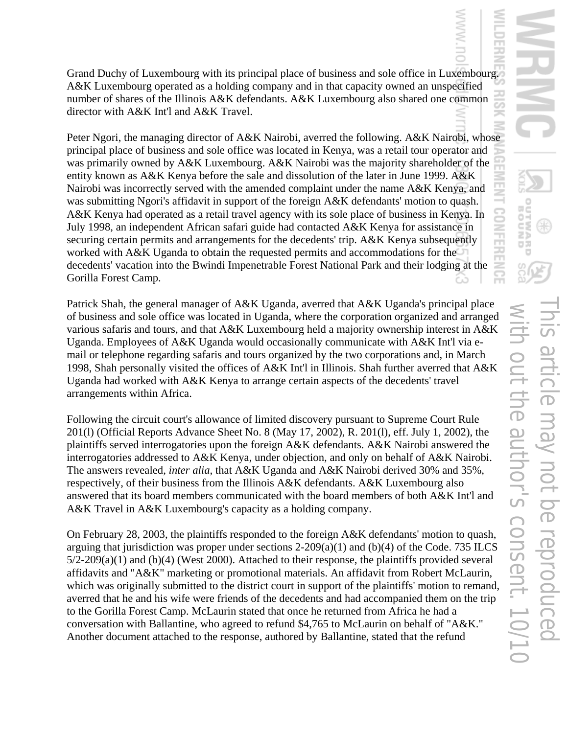Grand Duchy of Luxembourg with its principal place of business and sole office in Luxembourg. A&K Luxembourg operated as a holding company and in that capacity owned an unspecified number of shares of the Illinois A&K defendants. A&K Luxembourg also shared one common director with A&K Int'l and A&K Travel.

Peter Ngori, the managing director of A&K Nairobi, averred the following. A&K Nairobi, whose principal place of business and sole office was located in Kenya, was a retail tour operator and was primarily owned by A&K Luxembourg. A&K Nairobi was the majority shareholder of the entity known as A&K Kenya before the sale and dissolution of the later in June 1999. A&K Nairobi was incorrectly served with the amended complaint under the name A&K Kenya, and was submitting Ngori's affidavit in support of the foreign A&K defendants' motion to quash. A&K Kenya had operated as a retail travel agency with its sole place of business in Kenya. In July 1998, an independent African safari guide had contacted A&K Kenya for assistance in securing certain permits and arrangements for the decedents' trip. A&K Kenya subsequently worked with A&K Uganda to obtain the requested permits and accommodations for the decedents' vacation into the Bwindi Impenetrable Forest National Park and their lodging at the Gorilla Forest Camp.

Patrick Shah, the general manager of A&K Uganda, averred that A&K Uganda's principal place of business and sole office was located in Uganda, where the corporation organized and arranged various safaris and tours, and that A&K Luxembourg held a majority ownership interest in A&K Uganda. Employees of A&K Uganda would occasionally communicate with A&K Int'l via email or telephone regarding safaris and tours organized by the two corporations and, in March 1998, Shah personally visited the offices of A&K Int'l in Illinois. Shah further averred that A&K Uganda had worked with A&K Kenya to arrange certain aspects of the decedents' travel arrangements within Africa.

Following the circuit court's allowance of limited discovery pursuant to Supreme Court Rule 201(l) (Official Reports Advance Sheet No. 8 (May 17, 2002), R. 201(l), eff. July 1, 2002), the plaintiffs served interrogatories upon the foreign A&K defendants. A&K Nairobi answered the interrogatories addressed to A&K Kenya, under objection, and only on behalf of A&K Nairobi. The answers revealed, *inter alia*, that A&K Uganda and A&K Nairobi derived 30% and 35%, respectively, of their business from the Illinois A&K defendants. A&K Luxembourg also answered that its board members communicated with the board members of both A&K Int'l and A&K Travel in A&K Luxembourg's capacity as a holding company.

On February 28, 2003, the plaintiffs responded to the foreign A&K defendants' motion to quash, arguing that jurisdiction was proper under sections 2-209(a)(1) and (b)(4) of the Code. 735 ILCS 5/2-209(a)(1) and (b)(4) (West 2000). Attached to their response, the plaintiffs provided several affidavits and "A&K" marketing or promotional materials. An affidavit from Robert McLaurin, which was originally submitted to the district court in support of the plaintiffs' motion to remand, averred that he and his wife were friends of the decedents and had accompanied them on the trip to the Gorilla Forest Camp. McLaurin stated that once he returned from Africa he had a conversation with Ballantine, who agreed to refund \$4,765 to McLaurin on behalf of "A&K." Another document attached to the response, authored by Ballantine, stated that the refund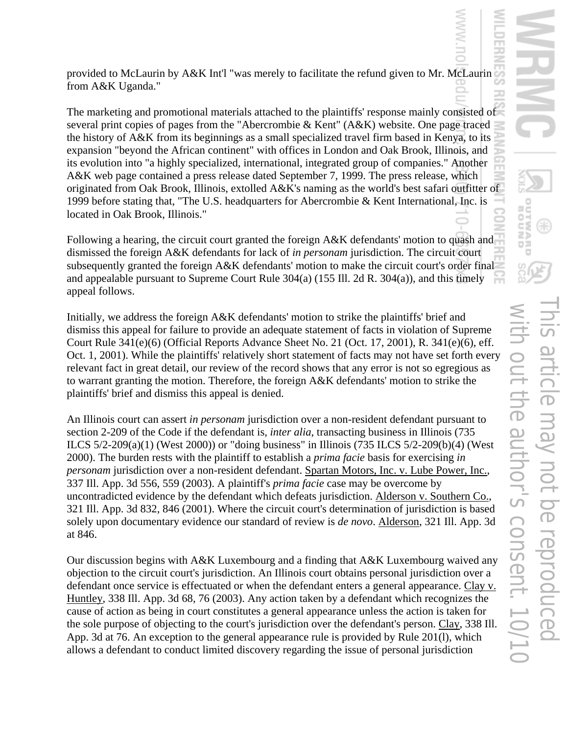provided to McLaurin by A&K Int'l "was merely to facilitate the refund given to Mr. McLaurin from A&K Uganda."

The marketing and promotional materials attached to the plaintiffs' response mainly consisted of several print copies of pages from the "Abercrombie & Kent" (A&K) website. One page traced the history of A&K from its beginnings as a small specialized travel firm based in Kenya, to its expansion "beyond the African continent" with offices in London and Oak Brook, Illinois, and its evolution into "a highly specialized, international, integrated group of companies." Another A&K web page contained a press release dated September 7, 1999. The press release, which originated from Oak Brook, Illinois, extolled A&K's naming as the world's best safari outfitter of 1999 before stating that, "The U.S. headquarters for Abercrombie & Kent International, Inc. is located in Oak Brook, Illinois."

Following a hearing, the circuit court granted the foreign A&K defendants' motion to quash and dismissed the foreign A&K defendants for lack of *in personam* jurisdiction. The circuit court subsequently granted the foreign A&K defendants' motion to make the circuit court's order final and appealable pursuant to Supreme Court Rule 304(a) (155 Ill. 2d R. 304(a)), and this timely appeal follows.

Initially, we address the foreign A&K defendants' motion to strike the plaintiffs' brief and dismiss this appeal for failure to provide an adequate statement of facts in violation of Supreme Court Rule 341(e)(6) (Official Reports Advance Sheet No. 21 (Oct. 17, 2001), R. 341(e)(6), eff. Oct. 1, 2001). While the plaintiffs' relatively short statement of facts may not have set forth every relevant fact in great detail, our review of the record shows that any error is not so egregious as to warrant granting the motion. Therefore, the foreign A&K defendants' motion to strike the plaintiffs' brief and dismiss this appeal is denied.

An Illinois court can assert *in personam* jurisdiction over a non-resident defendant pursuant to section 2-209 of the Code if the defendant is, *inter alia*, transacting business in Illinois (735 ILCS 5/2-209(a)(1) (West 2000)) or "doing business" in Illinois (735 ILCS 5/2-209(b)(4) (West 2000). The burden rests with the plaintiff to establish a *prima facie* basis for exercising *in personam* jurisdiction over a non-resident defendant. Spartan Motors, Inc. v. Lube Power, Inc., 337 Ill. App. 3d 556, 559 (2003). A plaintiff's *prima facie* case may be overcome by uncontradicted evidence by the defendant which defeats jurisdiction. Alderson v. Southern Co., 321 Ill. App. 3d 832, 846 (2001). Where the circuit court's determination of jurisdiction is based solely upon documentary evidence our standard of review is *de novo*. Alderson, 321 Ill. App. 3d at 846.

Our discussion begins with A&K Luxembourg and a finding that A&K Luxembourg waived any objection to the circuit court's jurisdiction. An Illinois court obtains personal jurisdiction over a defendant once service is effectuated or when the defendant enters a general appearance. Clay v. Huntley, 338 Ill. App. 3d 68, 76 (2003). Any action taken by a defendant which recognizes the cause of action as being in court constitutes a general appearance unless the action is taken for the sole purpose of objecting to the court's jurisdiction over the defendant's person. Clay, 338 Ill. App. 3d at 76. An exception to the general appearance rule is provided by Rule 201(l), which allows a defendant to conduct limited discovery regarding the issue of personal jurisdiction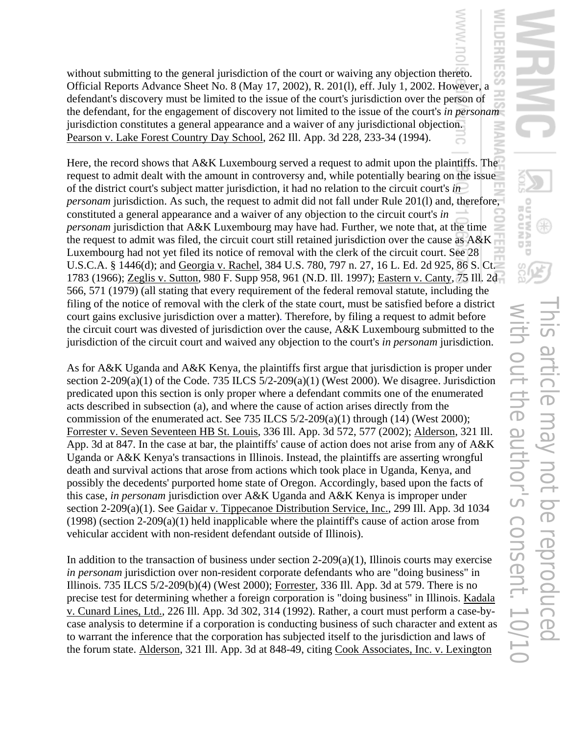without submitting to the general jurisdiction of the court or waiving any objection thereto. Official Reports Advance Sheet No. 8 (May 17, 2002), R. 201(l), eff. July 1, 2002. However, a defendant's discovery must be limited to the issue of the court's jurisdiction over the person of the defendant, for the engagement of discovery not limited to the issue of the court's *in personam*  jurisdiction constitutes a general appearance and a waiver of any jurisdictional objection. Pearson v. Lake Forest Country Day School, 262 Ill. App. 3d 228, 233-34 (1994).

Here, the record shows that A&K Luxembourg served a request to admit upon the plaintiffs. The request to admit dealt with the amount in controversy and, while potentially bearing on the issue of the district court's subject matter jurisdiction, it had no relation to the circuit court's *in personam* jurisdiction. As such, the request to admit did not fall under Rule 201(1) and, therefore, constituted a general appearance and a waiver of any objection to the circuit court's *in personam* jurisdiction that A&K Luxembourg may have had. Further, we note that, at the time the request to admit was filed, the circuit court still retained jurisdiction over the cause as A&K Luxembourg had not yet filed its notice of removal with the clerk of the circuit court. See 28 U.S.C.A. § 1446(d); and Georgia v. Rachel, 384 U.S. 780, 797 n. 27, 16 L. Ed. 2d 925, 86 S. Ct. 1783 (1966); Zeglis v. Sutton, 980 F. Supp 958, 961 (N.D. Ill. 1997); Eastern v. Canty, 75 Ill. 2d 566, 571 (1979) (all stating that every requirement of the federal removal statute, including the filing of the notice of removal with the clerk of the state court, must be satisfied before a district court gains exclusive jurisdiction over a matter). Therefore, by filing a request to admit before the circuit court was divested of jurisdiction over the cause, A&K Luxembourg submitted to the jurisdiction of the circuit court and waived any objection to the court's *in personam* jurisdiction.

As for A&K Uganda and A&K Kenya, the plaintiffs first argue that jurisdiction is proper under section 2-209(a)(1) of the Code. 735 ILCS  $5/2$ -209(a)(1) (West 2000). We disagree. Jurisdiction predicated upon this section is only proper where a defendant commits one of the enumerated acts described in subsection (a), and where the cause of action arises directly from the commission of the enumerated act. See 735 ILCS  $5/2$ -209(a)(1) through (14) (West 2000); Forrester v. Seven Seventeen HB St. Louis, 336 Ill. App. 3d 572, 577 (2002); Alderson, 321 Ill. App. 3d at 847. In the case at bar, the plaintiffs' cause of action does not arise from any of A&K Uganda or A&K Kenya's transactions in Illinois. Instead, the plaintiffs are asserting wrongful death and survival actions that arose from actions which took place in Uganda, Kenya, and possibly the decedents' purported home state of Oregon. Accordingly, based upon the facts of this case, *in personam* jurisdiction over A&K Uganda and A&K Kenya is improper under section 2-209(a)(1). See Gaidar v. Tippecanoe Distribution Service, Inc., 299 Ill. App. 3d 1034 (1998) (section 2-209(a)(1) held inapplicable where the plaintiff's cause of action arose from vehicular accident with non-resident defendant outside of Illinois).

In addition to the transaction of business under section  $2-209(a)(1)$ , Illinois courts may exercise *in personam* jurisdiction over non-resident corporate defendants who are "doing business" in Illinois. 735 ILCS 5/2-209(b)(4) (West 2000); Forrester, 336 Ill. App. 3d at 579. There is no precise test for determining whether a foreign corporation is "doing business" in Illinois. Kadala v. Cunard Lines, Ltd., 226 Ill. App. 3d 302, 314 (1992). Rather, a court must perform a case-bycase analysis to determine if a corporation is conducting business of such character and extent as to warrant the inference that the corporation has subjected itself to the jurisdiction and laws of the forum state. Alderson, 321 Ill. App. 3d at 848-49, citing Cook Associates, Inc. v. Lexington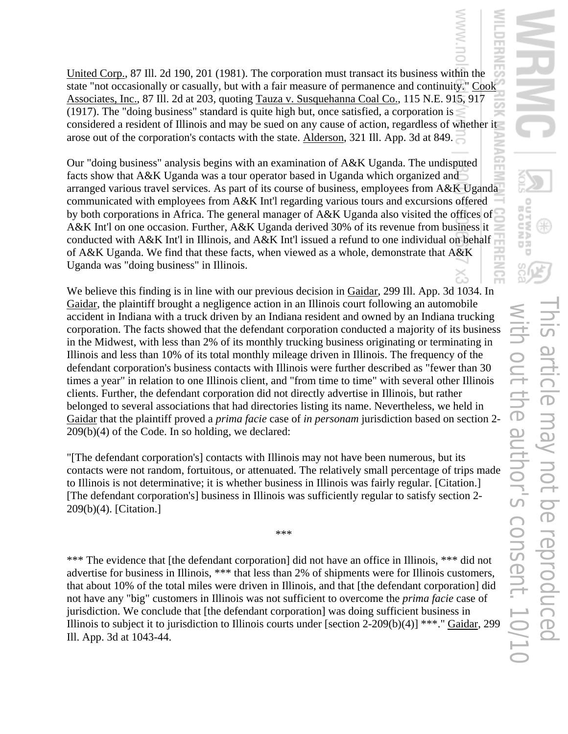United Corp., 87 Ill. 2d 190, 201 (1981). The corporation must transact its business within the state "not occasionally or casually, but with a fair measure of permanence and continuity." Cook Associates, Inc., 87 Ill. 2d at 203, quoting Tauza v. Susquehanna Coal Co., 115 N.E. 915, 917 (1917). The "doing business" standard is quite high but, once satisfied, a corporation is considered a resident of Illinois and may be sued on any cause of action, regardless of whether it arose out of the corporation's contacts with the state. Alderson, 321 Ill. App. 3d at 849.

Our "doing business" analysis begins with an examination of A&K Uganda. The undisputed facts show that A&K Uganda was a tour operator based in Uganda which organized and arranged various travel services. As part of its course of business, employees from A&K Uganda communicated with employees from A&K Int'l regarding various tours and excursions offered by both corporations in Africa. The general manager of A&K Uganda also visited the offices of A&K Int'l on one occasion. Further, A&K Uganda derived 30% of its revenue from business it conducted with A&K Int'l in Illinois, and A&K Int'l issued a refund to one individual on behalf of A&K Uganda. We find that these facts, when viewed as a whole, demonstrate that A&K Uganda was "doing business" in Illinois.

We believe this finding is in line with our previous decision in Gaidar, 299 Ill. App. 3d 1034. In Gaidar, the plaintiff brought a negligence action in an Illinois court following an automobile accident in Indiana with a truck driven by an Indiana resident and owned by an Indiana trucking corporation. The facts showed that the defendant corporation conducted a majority of its business in the Midwest, with less than 2% of its monthly trucking business originating or terminating in Illinois and less than 10% of its total monthly mileage driven in Illinois. The frequency of the defendant corporation's business contacts with Illinois were further described as "fewer than 30 times a year" in relation to one Illinois client, and "from time to time" with several other Illinois clients. Further, the defendant corporation did not directly advertise in Illinois, but rather belonged to several associations that had directories listing its name. Nevertheless, we held in Gaidar that the plaintiff proved a *prima facie* case of *in personam* jurisdiction based on section 2- 209(b)(4) of the Code. In so holding, we declared:

"[The defendant corporation's] contacts with Illinois may not have been numerous, but its contacts were not random, fortuitous, or attenuated. The relatively small percentage of trips made to Illinois is not determinative; it is whether business in Illinois was fairly regular. [Citation.] [The defendant corporation's] business in Illinois was sufficiently regular to satisfy section 2- 209(b)(4). [Citation.]

\*\*\*

\*\*\* The evidence that [the defendant corporation] did not have an office in Illinois, \*\*\* did not advertise for business in Illinois, \*\*\* that less than 2% of shipments were for Illinois customers, that about 10% of the total miles were driven in Illinois, and that [the defendant corporation] did not have any "big" customers in Illinois was not sufficient to overcome the *prima facie* case of jurisdiction. We conclude that [the defendant corporation] was doing sufficient business in Illinois to subject it to jurisdiction to Illinois courts under [section 2-209(b)(4)] \*\*\*." Gaidar, 299 Ill. App. 3d at 1043-44.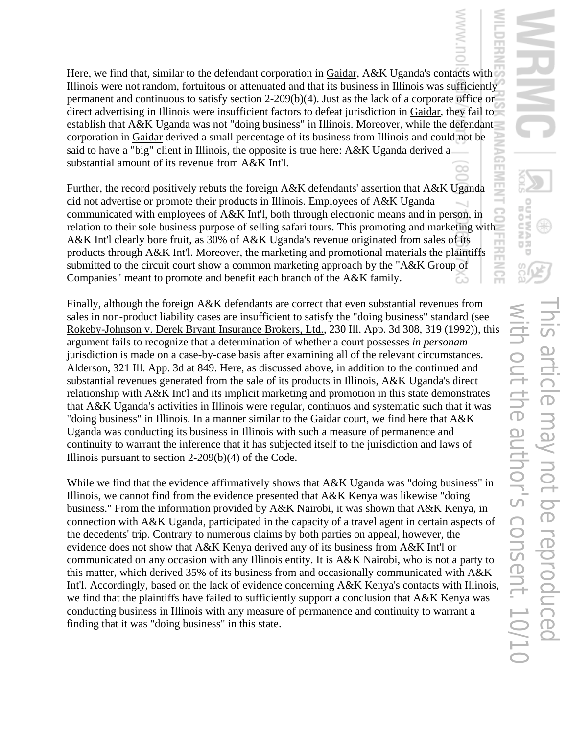Here, we find that, similar to the defendant corporation in Gaidar, A&K Uganda's contacts with Illinois were not random, fortuitous or attenuated and that its business in Illinois was sufficiently permanent and continuous to satisfy section 2-209(b)(4). Just as the lack of a corporate office or direct advertising in Illinois were insufficient factors to defeat jurisdiction in Gaidar, they fail to establish that A&K Uganda was not "doing business" in Illinois. Moreover, while the defendant corporation in Gaidar derived a small percentage of its business from Illinois and could not be said to have a "big" client in Illinois, the opposite is true here: A&K Uganda derived a substantial amount of its revenue from A&K Int'l.

Further, the record positively rebuts the foreign A&K defendants' assertion that A&K Uganda did not advertise or promote their products in Illinois. Employees of A&K Uganda communicated with employees of A&K Int'l, both through electronic means and in person, in relation to their sole business purpose of selling safari tours. This promoting and marketing with A&K Int'l clearly bore fruit, as 30% of A&K Uganda's revenue originated from sales of its products through A&K Int'l. Moreover, the marketing and promotional materials the plaintiffs submitted to the circuit court show a common marketing approach by the "A&K Group of Companies" meant to promote and benefit each branch of the A&K family.

Finally, although the foreign A&K defendants are correct that even substantial revenues from sales in non-product liability cases are insufficient to satisfy the "doing business" standard (see Rokeby-Johnson v. Derek Bryant Insurance Brokers, Ltd., 230 Ill. App. 3d 308, 319 (1992)), this argument fails to recognize that a determination of whether a court possesses *in personam* jurisdiction is made on a case-by-case basis after examining all of the relevant circumstances. Alderson, 321 Ill. App. 3d at 849. Here, as discussed above, in addition to the continued and substantial revenues generated from the sale of its products in Illinois, A&K Uganda's direct relationship with A&K Int'l and its implicit marketing and promotion in this state demonstrates that A&K Uganda's activities in Illinois were regular, continuos and systematic such that it was "doing business" in Illinois. In a manner similar to the Gaidar court, we find here that A&K Uganda was conducting its business in Illinois with such a measure of permanence and continuity to warrant the inference that it has subjected itself to the jurisdiction and laws of Illinois pursuant to section 2-209(b)(4) of the Code.

While we find that the evidence affirmatively shows that A&K Uganda was "doing business" in Illinois, we cannot find from the evidence presented that A&K Kenya was likewise "doing business." From the information provided by A&K Nairobi, it was shown that A&K Kenya, in connection with A&K Uganda, participated in the capacity of a travel agent in certain aspects of the decedents' trip. Contrary to numerous claims by both parties on appeal, however, the evidence does not show that A&K Kenya derived any of its business from A&K Int'l or communicated on any occasion with any Illinois entity. It is A&K Nairobi, who is not a party to this matter, which derived 35% of its business from and occasionally communicated with A&K Int'l. Accordingly, based on the lack of evidence concerning A&K Kenya's contacts with Illinois, we find that the plaintiffs have failed to sufficiently support a conclusion that A&K Kenya was conducting business in Illinois with any measure of permanence and continuity to warrant a finding that it was "doing business" in this state.